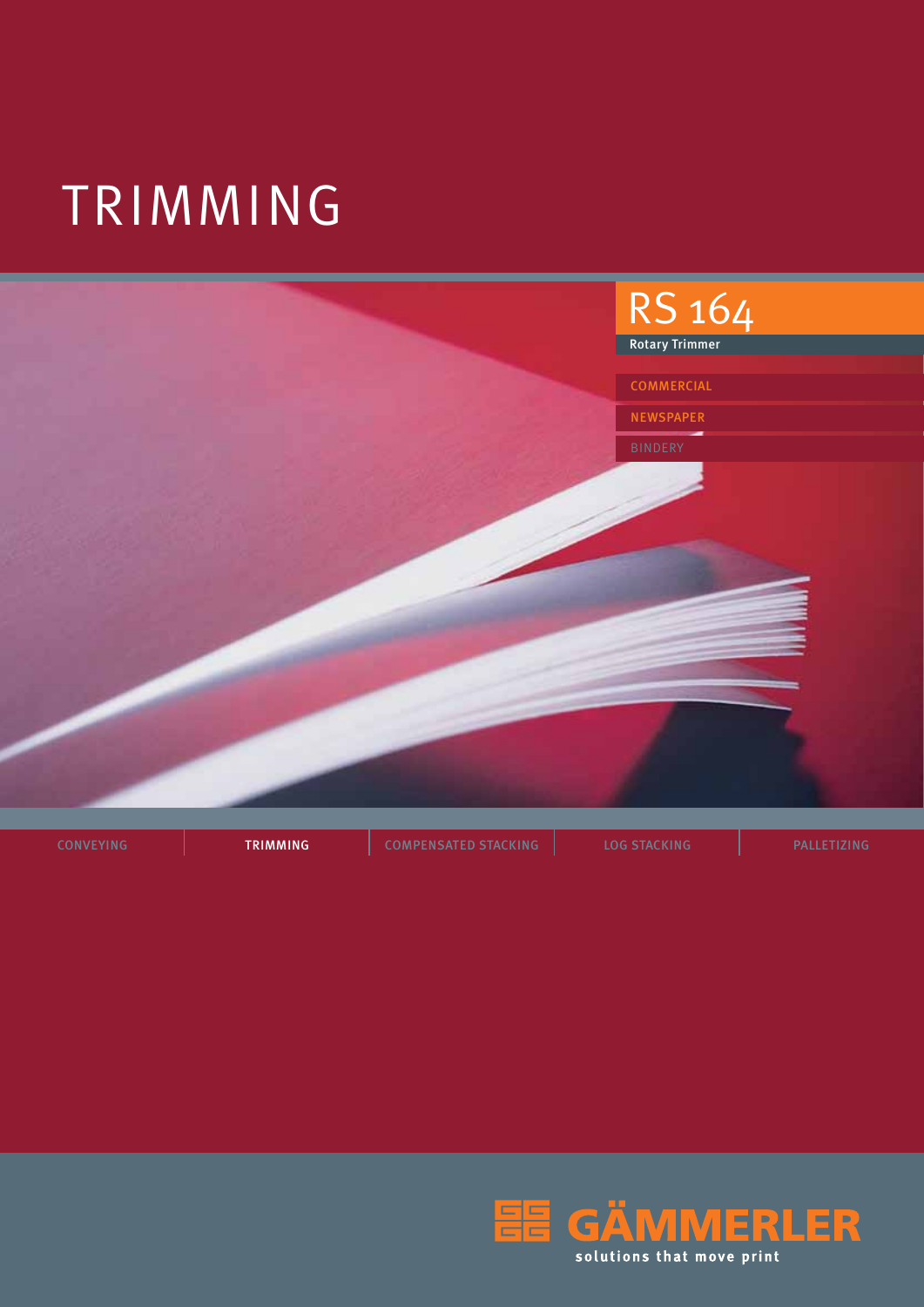# TRIMMING



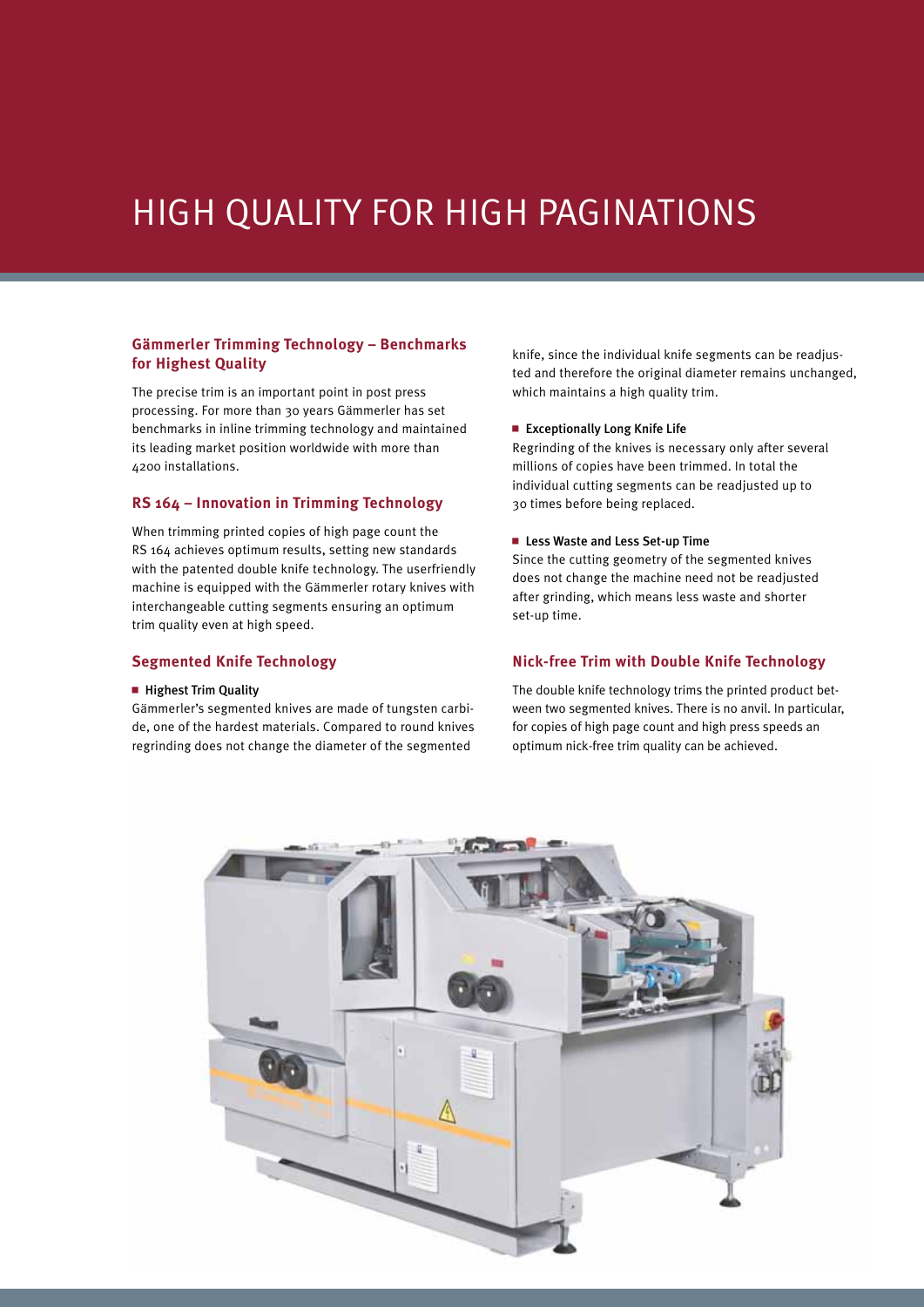### High Quality for High Paginations

#### **Gämmerler Trimming Technology – Benchmarks for Highest Quality**

The precise trim is an important point in post press processing. For more than 30 years Gämmerler has set benchmarks in inline trimming technology and maintained its leading market position worldwide with more than 4200 installations.

#### **RS 164 – Innovation in Trimming Technology**

When trimming printed copies of high page count the RS 164 achieves optimum results, setting new standards with the patented double knife technology. The userfriendly machine is equipped with the Gämmerler rotary knives with interchangeable cutting segments ensuring an optimum trim quality even at high speed.

#### **Segmented Knife Technology**

#### $\blacksquare$  Highest Trim Quality

Gämmerler's segmented knives are made of tungsten carbide, one of the hardest materials. Compared to round knives regrinding does not change the diameter of the segmented

knife, since the individual knife segments can be readjusted and therefore the original diameter remains unchanged, which maintains a high quality trim.

#### ■ Exceptionally Long Knife Life

Regrinding of the knives is necessary only after several millions of copies have been trimmed. In total the individual cutting segments can be readjusted up to 30 times before being replaced.

#### ■ Less Waste and Less Set-up Time

Since the cutting geometry of the segmented knives does not change the machine need not be readjusted after grinding, which means less waste and shorter set-up time.

#### **Nick-free Trim with Double Knife Technology**

The double knife technology trims the printed product between two segmented knives. There is no anvil. In particular, for copies of high page count and high press speeds an optimum nick-free trim quality can be achieved.

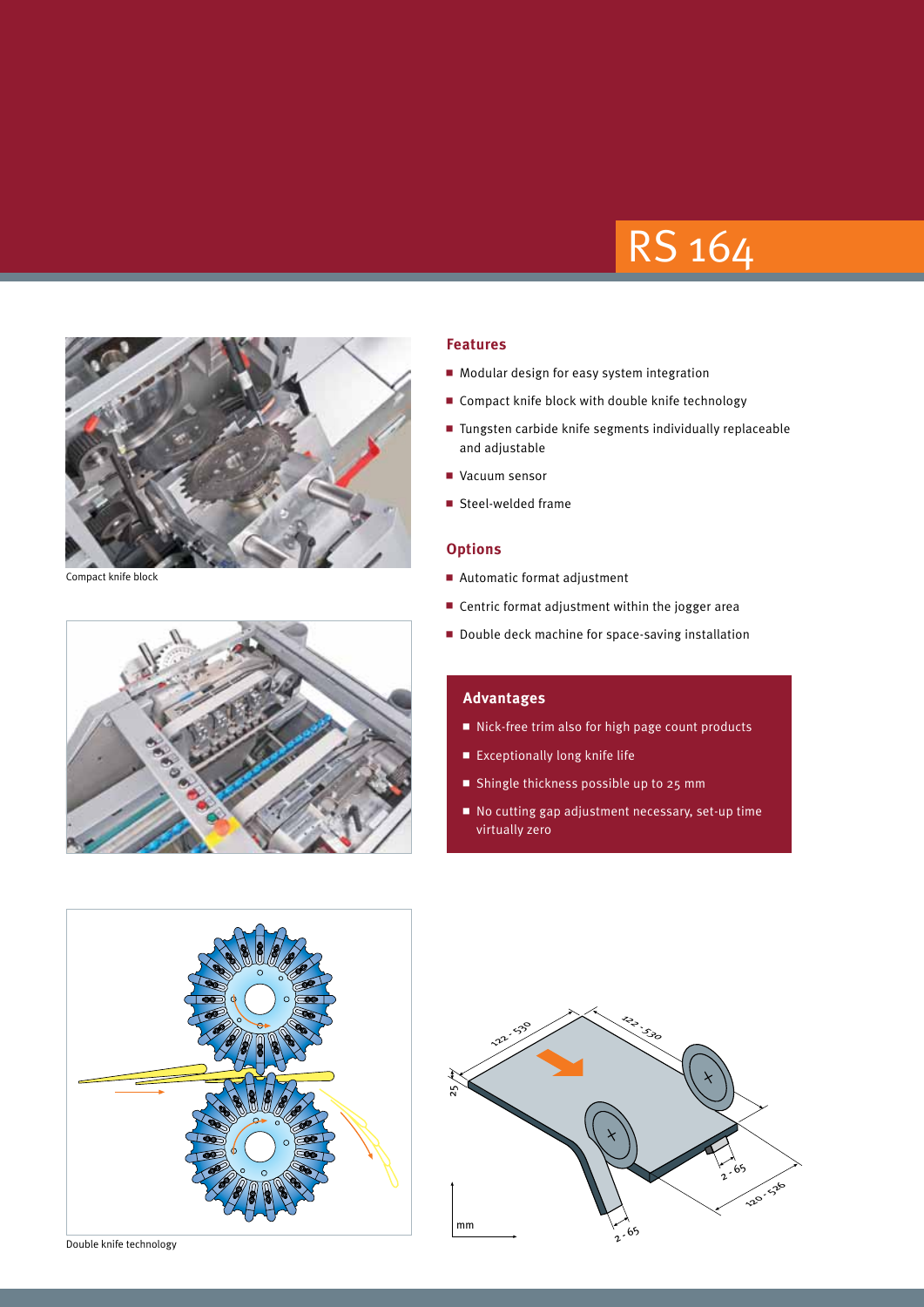## RS 164



Compact knife block



#### **Features**

- $\blacksquare$  Modular design for easy system integration
- $\blacksquare$  Compact knife block with double knife technology
- $\blacksquare$  Tungsten carbide knife segments individually replaceable and adjustable
- Vacuum sensor
- $\blacksquare$  Steel-welded frame

#### **Options**

- $\blacksquare$  Automatic format adjustment
- $\blacksquare$  Centric format adjustment within the jogger area
- Double deck machine for space-saving installation

#### **Advantages**

- Nick-free trim also for high page count products
- $\blacksquare$  Exceptionally long knife life
- Shingle thickness possible up to 25 mm
- $\blacksquare$  No cutting gap adjustment necessary, set-up time virtually zero





Double knife technology